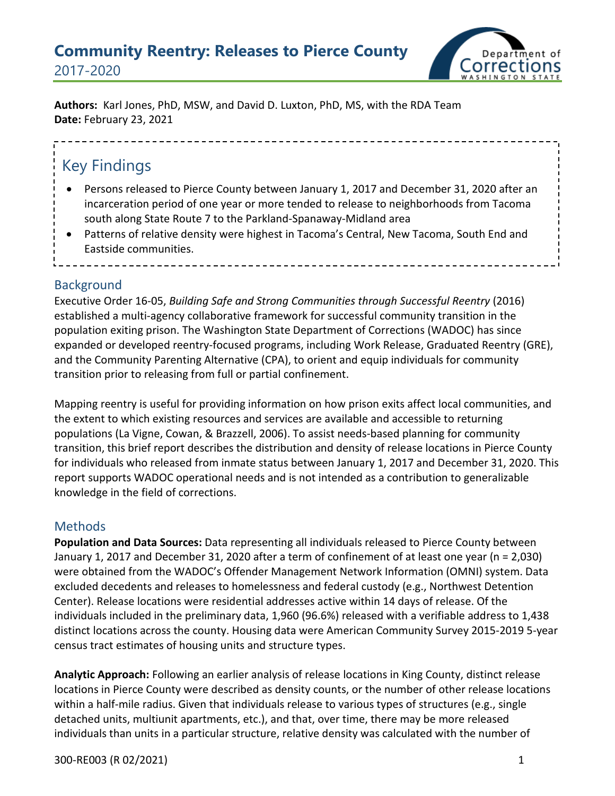## **Community Reentry: Releases to Pierce County** 2017-2020



**Authors:** Karl Jones, PhD, MSW, and David D. Luxton, PhD, MS, with the RDA Team **Date:** February 23, 2021

# Key Findings

- Persons released to Pierce County between January 1, 2017 and December 31, 2020 after an incarceration period of one year or more tended to release to neighborhoods from Tacoma south along State Route 7 to the Parkland-Spanaway-Midland area
- Patterns of relative density were highest in Tacoma's Central, New Tacoma, South End and Eastside communities.

#### **Background**

Executive Order 16-05, *Building Safe and Strong Communities through Successful Reentry* (2016) established a multi-agency collaborative framework for successful community transition in the population exiting prison. The Washington State Department of Corrections (WADOC) has since expanded or developed reentry-focused programs, including Work Release, Graduated Reentry (GRE), and the Community Parenting Alternative (CPA), to orient and equip individuals for community transition prior to releasing from full or partial confinement.

Mapping reentry is useful for providing information on how prison exits affect local communities, and the extent to which existing resources and services are available and accessible to returning populations (La Vigne, Cowan, & Brazzell, 2006). To assist needs-based planning for community transition, this brief report describes the distribution and density of release locations in Pierce County for individuals who released from inmate status between January 1, 2017 and December 31, 2020. This report supports WADOC operational needs and is not intended as a contribution to generalizable knowledge in the field of corrections.

## **Methods**

**Population and Data Sources:** Data representing all individuals released to Pierce County between January 1, 2017 and December 31, 2020 after a term of confinement of at least one year (n = 2,030) were obtained from the WADOC's Offender Management Network Information (OMNI) system. Data excluded decedents and releases to homelessness and federal custody (e.g., Northwest Detention Center). Release locations were residential addresses active within 14 days of release. Of the individuals included in the preliminary data, 1,960 (96.6%) released with a verifiable address to 1,438 distinct locations across the county. Housing data were American Community Survey 2015-2019 5-year census tract estimates of housing units and structure types.

**Analytic Approach:** Following an earlier analysis of release locations in King County, distinct release locations in Pierce County were described as density counts, or the number of other release locations within a half-mile radius. Given that individuals release to various types of structures (e.g., single detached units, multiunit apartments, etc.), and that, over time, there may be more released individuals than units in a particular structure, relative density was calculated with the number of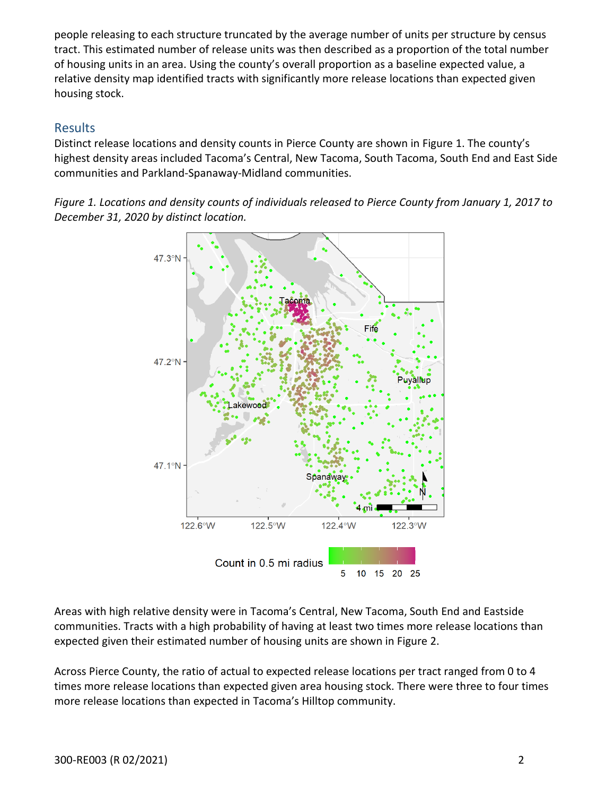people releasing to each structure truncated by the average number of units per structure by census tract. This estimated number of release units was then described as a proportion of the total number of housing units in an area. Using the county's overall proportion as a baseline expected value, a relative density map identified tracts with significantly more release locations than expected given housing stock.

### Results

Distinct release locations and density counts in Pierce County are shown in Figure 1. The county's highest density areas included Tacoma's Central, New Tacoma, South Tacoma, South End and East Side communities and Parkland-Spanaway-Midland communities.

*Figure 1. Locations and density counts of individuals released to Pierce County from January 1, 2017 to December 31, 2020 by distinct location.* 



Areas with high relative density were in Tacoma's Central, New Tacoma, South End and Eastside communities. Tracts with a high probability of having at least two times more release locations than expected given their estimated number of housing units are shown in Figure 2.

Across Pierce County, the ratio of actual to expected release locations per tract ranged from 0 to 4 times more release locations than expected given area housing stock. There were three to four times more release locations than expected in Tacoma's Hilltop community.